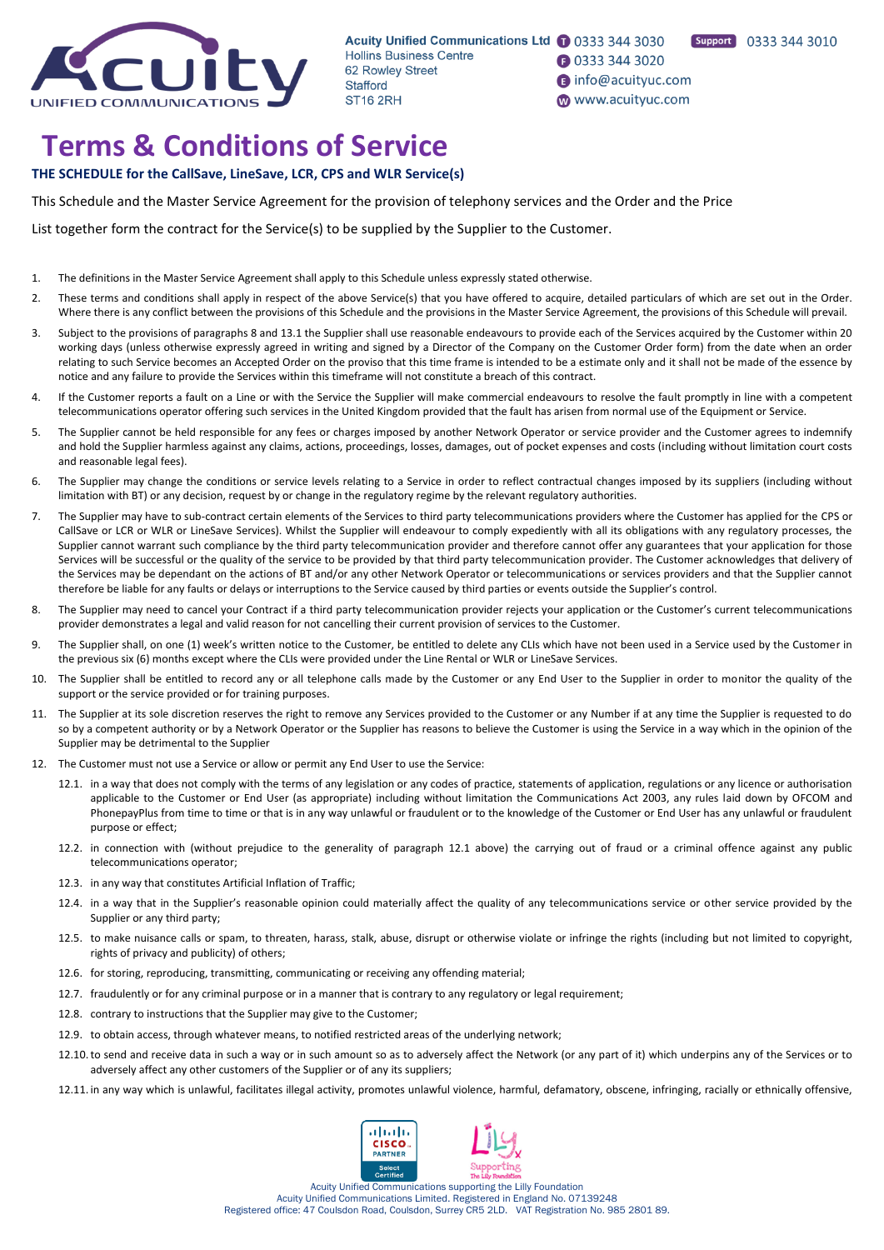

Acuity Unified Communications Ltd 1 0333 344 3030 **Hollins Business Centre** 62 Rowley Street Stafford **ST16 2RH** 

- **1** 0333 344 3020
- nfo@acuityuc.com www.acuityuc.com

# **Terms & Conditions of Service**

# **THE SCHEDULE for the CallSave, LineSave, LCR, CPS and WLR Service(s)**

This Schedule and the Master Service Agreement for the provision of telephony services and the Order and the Price

List together form the contract for the Service(s) to be supplied by the Supplier to the Customer.

- 1. The definitions in the Master Service Agreement shall apply to this Schedule unless expressly stated otherwise.
- 2. These terms and conditions shall apply in respect of the above Service(s) that you have offered to acquire, detailed particulars of which are set out in the Order. Where there is any conflict between the provisions of this Schedule and the provisions in the Master Service Agreement, the provisions of this Schedule will prevail.
- 3. Subject to the provisions of paragraphs 8 and 13.1 the Supplier shall use reasonable endeavours to provide each of the Services acquired by the Customer within 20 working days (unless otherwise expressly agreed in writing and signed by a Director of the Company on the Customer Order form) from the date when an order relating to such Service becomes an Accepted Order on the proviso that this time frame is intended to be a estimate only and it shall not be made of the essence by notice and any failure to provide the Services within this timeframe will not constitute a breach of this contract.
- 4. If the Customer reports a fault on a Line or with the Service the Supplier will make commercial endeavours to resolve the fault promptly in line with a competent telecommunications operator offering such services in the United Kingdom provided that the fault has arisen from normal use of the Equipment or Service.
- 5. The Supplier cannot be held responsible for any fees or charges imposed by another Network Operator or service provider and the Customer agrees to indemnify and hold the Supplier harmless against any claims, actions, proceedings, losses, damages, out of pocket expenses and costs (including without limitation court costs and reasonable legal fees).
- 6. The Supplier may change the conditions or service levels relating to a Service in order to reflect contractual changes imposed by its suppliers (including without limitation with BT) or any decision, request by or change in the regulatory regime by the relevant regulatory authorities.
- 7. The Supplier may have to sub-contract certain elements of the Services to third party telecommunications providers where the Customer has applied for the CPS or CallSave or LCR or WLR or LineSave Services). Whilst the Supplier will endeavour to comply expediently with all its obligations with any regulatory processes, the Supplier cannot warrant such compliance by the third party telecommunication provider and therefore cannot offer any guarantees that your application for those Services will be successful or the quality of the service to be provided by that third party telecommunication provider. The Customer acknowledges that delivery of the Services may be dependant on the actions of BT and/or any other Network Operator or telecommunications or services providers and that the Supplier cannot therefore be liable for any faults or delays or interruptions to the Service caused by third parties or events outside the Supplier's control.
- 8. The Supplier may need to cancel your Contract if a third party telecommunication provider rejects your application or the Customer's current telecommunications provider demonstrates a legal and valid reason for not cancelling their current provision of services to the Customer.
- 9. The Supplier shall, on one (1) week's written notice to the Customer, be entitled to delete any CLIs which have not been used in a Service used by the Customer in the previous six (6) months except where the CLIs were provided under the Line Rental or WLR or LineSave Services.
- 10. The Supplier shall be entitled to record any or all telephone calls made by the Customer or any End User to the Supplier in order to monitor the quality of the support or the service provided or for training purposes.
- 11. The Supplier at its sole discretion reserves the right to remove any Services provided to the Customer or any Number if at any time the Supplier is requested to do so by a competent authority or by a Network Operator or the Supplier has reasons to believe the Customer is using the Service in a way which in the opinion of the Supplier may be detrimental to the Supplier
- 12. The Customer must not use a Service or allow or permit any End User to use the Service:
	- 12.1. in a way that does not comply with the terms of any legislation or any codes of practice, statements of application, regulations or any licence or authorisation applicable to the Customer or End User (as appropriate) including without limitation the Communications Act 2003, any rules laid down by OFCOM and PhonepayPlus from time to time or that is in any way unlawful or fraudulent or to the knowledge of the Customer or End User has any unlawful or fraudulent purpose or effect;
	- 12.2. in connection with (without prejudice to the generality of paragraph 12.1 above) the carrying out of fraud or a criminal offence against any public telecommunications operator;
	- 12.3. in any way that constitutes Artificial Inflation of Traffic;
	- 12.4. in a way that in the Supplier's reasonable opinion could materially affect the quality of any telecommunications service or other service provided by the Supplier or any third party;
	- 12.5. to make nuisance calls or spam, to threaten, harass, stalk, abuse, disrupt or otherwise violate or infringe the rights (including but not limited to copyright, rights of privacy and publicity) of others;
	- 12.6. for storing, reproducing, transmitting, communicating or receiving any offending material;
	- 12.7. fraudulently or for any criminal purpose or in a manner that is contrary to any regulatory or legal requirement;
	- 12.8. contrary to instructions that the Supplier may give to the Customer;
	- 12.9. to obtain access, through whatever means, to notified restricted areas of the underlying network;
	- 12.10. to send and receive data in such a way or in such amount so as to adversely affect the Network (or any part of it) which underpins any of the Services or to adversely affect any other customers of the Supplier or of any its suppliers;
	- 12.11. in any way which is unlawful, facilitates illegal activity, promotes unlawful violence, harmful, defamatory, obscene, infringing, racially or ethnically offensive,

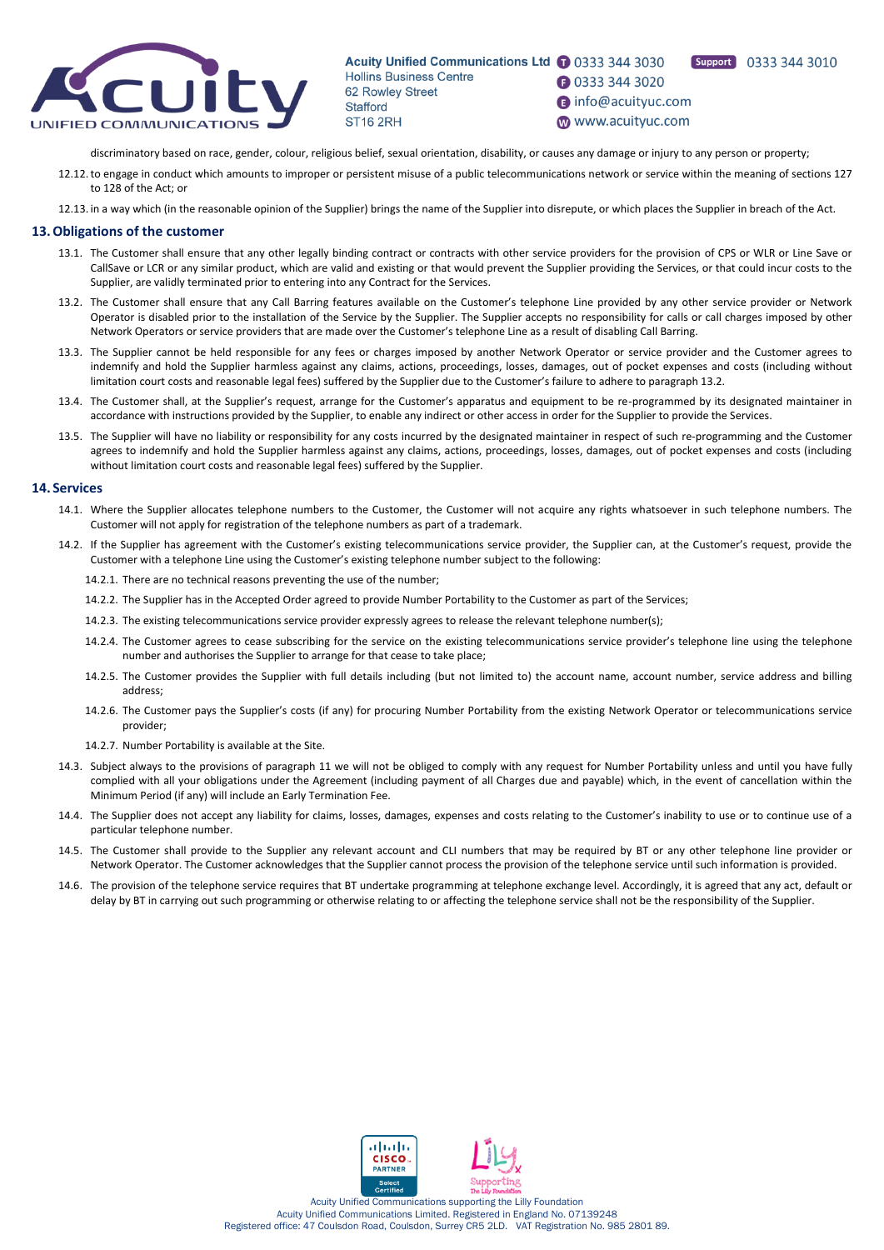

Acuity Unified Communications Ltd 1 0333 344 3030 Support 0333 344 3010 **Hollins Business Centre 3** 0333 344 3020 62 Rowley Street nfo@acuityuc.com **Stafford** www.acuityuc.com **ST16 2RH** 

discriminatory based on race, gender, colour, religious belief, sexual orientation, disability, or causes any damage or injury to any person or property;

- 12.12.to engage in conduct which amounts to improper or persistent misuse of a public telecommunications network or service within the meaning of sections 127 to 128 of the Act; or
- 12.13. in a way which (in the reasonable opinion of the Supplier) brings the name of the Supplier into disrepute, or which places the Supplier in breach of the Act.

## **13.Obligations of the customer**

- 13.1. The Customer shall ensure that any other legally binding contract or contracts with other service providers for the provision of CPS or WLR or Line Save or CallSave or LCR or any similar product, which are valid and existing or that would prevent the Supplier providing the Services, or that could incur costs to the Supplier, are validly terminated prior to entering into any Contract for the Services.
- 13.2. The Customer shall ensure that any Call Barring features available on the Customer's telephone Line provided by any other service provider or Network Operator is disabled prior to the installation of the Service by the Supplier. The Supplier accepts no responsibility for calls or call charges imposed by other Network Operators or service providers that are made over the Customer's telephone Line as a result of disabling Call Barring.
- 13.3. The Supplier cannot be held responsible for any fees or charges imposed by another Network Operator or service provider and the Customer agrees to indemnify and hold the Supplier harmless against any claims, actions, proceedings, losses, damages, out of pocket expenses and costs (including without limitation court costs and reasonable legal fees) suffered by the Supplier due to the Customer's failure to adhere to paragraph 13.2.
- 13.4. The Customer shall, at the Supplier's request, arrange for the Customer's apparatus and equipment to be re-programmed by its designated maintainer in accordance with instructions provided by the Supplier, to enable any indirect or other access in order for the Supplier to provide the Services.
- 13.5. The Supplier will have no liability or responsibility for any costs incurred by the designated maintainer in respect of such re-programming and the Customer agrees to indemnify and hold the Supplier harmless against any claims, actions, proceedings, losses, damages, out of pocket expenses and costs (including without limitation court costs and reasonable legal fees) suffered by the Supplier.

#### **14. Services**

- 14.1. Where the Supplier allocates telephone numbers to the Customer, the Customer will not acquire any rights whatsoever in such telephone numbers. The Customer will not apply for registration of the telephone numbers as part of a trademark.
- 14.2. If the Supplier has agreement with the Customer's existing telecommunications service provider, the Supplier can, at the Customer's request, provide the Customer with a telephone Line using the Customer's existing telephone number subject to the following:
	- 14.2.1. There are no technical reasons preventing the use of the number;
	- 14.2.2. The Supplier has in the Accepted Order agreed to provide Number Portability to the Customer as part of the Services;
	- 14.2.3. The existing telecommunications service provider expressly agrees to release the relevant telephone number(s);
	- 14.2.4. The Customer agrees to cease subscribing for the service on the existing telecommunications service provider's telephone line using the telephone number and authorises the Supplier to arrange for that cease to take place;
	- 14.2.5. The Customer provides the Supplier with full details including (but not limited to) the account name, account number, service address and billing address;
	- 14.2.6. The Customer pays the Supplier's costs (if any) for procuring Number Portability from the existing Network Operator or telecommunications service provider;
	- 14.2.7. Number Portability is available at the Site.
- 14.3. Subject always to the provisions of paragraph 11 we will not be obliged to comply with any request for Number Portability unless and until you have fully complied with all your obligations under the Agreement (including payment of all Charges due and payable) which, in the event of cancellation within the Minimum Period (if any) will include an Early Termination Fee.
- 14.4. The Supplier does not accept any liability for claims, losses, damages, expenses and costs relating to the Customer's inability to use or to continue use of a particular telephone number.
- 14.5. The Customer shall provide to the Supplier any relevant account and CLI numbers that may be required by BT or any other telephone line provider or Network Operator. The Customer acknowledges that the Supplier cannot process the provision of the telephone service until such information is provided.
- 14.6. The provision of the telephone service requires that BT undertake programming at telephone exchange level. Accordingly, it is agreed that any act, default or delay by BT in carrying out such programming or otherwise relating to or affecting the telephone service shall not be the responsibility of the Supplier.

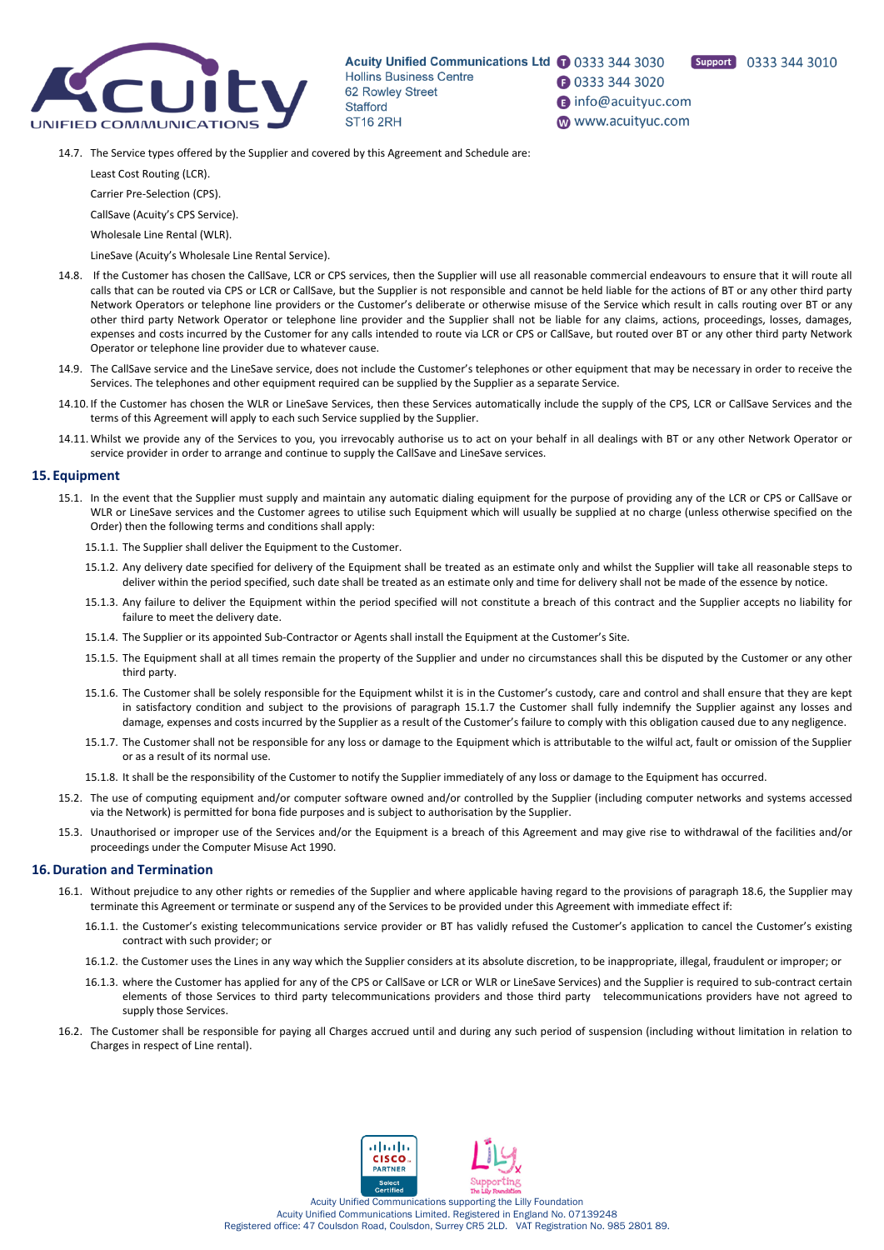

Acuity Unified Communications Ltd 1 0333 344 3030 **Hollins Business Centre** 62 Rowley Street **Stafford ST16 2RH** 

**3** 0333 344 3020 nfo@acuityuc.com www.acuityuc.com

Support 0333 344 3010

14.7. The Service types offered by the Supplier and covered by this Agreement and Schedule are:

Least Cost Routing (LCR).

Carrier Pre-Selection (CPS).

CallSave (Acuity's CPS Service).

Wholesale Line Rental (WLR).

LineSave (Acuity's Wholesale Line Rental Service).

- 14.8. If the Customer has chosen the CallSave, LCR or CPS services, then the Supplier will use all reasonable commercial endeavours to ensure that it will route all calls that can be routed via CPS or LCR or CallSave, but the Supplier is not responsible and cannot be held liable for the actions of BT or any other third party Network Operators or telephone line providers or the Customer's deliberate or otherwise misuse of the Service which result in calls routing over BT or any other third party Network Operator or telephone line provider and the Supplier shall not be liable for any claims, actions, proceedings, losses, damages, expenses and costs incurred by the Customer for any calls intended to route via LCR or CPS or CallSave, but routed over BT or any other third party Network Operator or telephone line provider due to whatever cause.
- 14.9. The CallSave service and the LineSave service, does not include the Customer's telephones or other equipment that may be necessary in order to receive the Services. The telephones and other equipment required can be supplied by the Supplier as a separate Service.
- 14.10. If the Customer has chosen the WLR or LineSave Services, then these Services automatically include the supply of the CPS, LCR or CallSave Services and the terms of this Agreement will apply to each such Service supplied by the Supplier.
- 14.11. Whilst we provide any of the Services to you, you irrevocably authorise us to act on your behalf in all dealings with BT or any other Network Operator or service provider in order to arrange and continue to supply the CallSave and LineSave services.

# **15. Equipment**

- 15.1. In the event that the Supplier must supply and maintain any automatic dialing equipment for the purpose of providing any of the LCR or CPS or CallSave or WLR or LineSave services and the Customer agrees to utilise such Equipment which will usually be supplied at no charge (unless otherwise specified on the Order) then the following terms and conditions shall apply:
	- 15.1.1. The Supplier shall deliver the Equipment to the Customer.
	- 15.1.2. Any delivery date specified for delivery of the Equipment shall be treated as an estimate only and whilst the Supplier will take all reasonable steps to deliver within the period specified, such date shall be treated as an estimate only and time for delivery shall not be made of the essence by notice.
	- 15.1.3. Any failure to deliver the Equipment within the period specified will not constitute a breach of this contract and the Supplier accepts no liability for failure to meet the delivery date.
	- 15.1.4. The Supplier or its appointed Sub-Contractor or Agents shall install the Equipment at the Customer's Site.
	- 15.1.5. The Equipment shall at all times remain the property of the Supplier and under no circumstances shall this be disputed by the Customer or any other third party.
	- 15.1.6. The Customer shall be solely responsible for the Equipment whilst it is in the Customer's custody, care and control and shall ensure that they are kept in satisfactory condition and subject to the provisions of paragraph 15.1.7 the Customer shall fully indemnify the Supplier against any losses and damage, expenses and costs incurred by the Supplier as a result of the Customer's failure to comply with this obligation caused due to any negligence.
	- 15.1.7. The Customer shall not be responsible for any loss or damage to the Equipment which is attributable to the wilful act, fault or omission of the Supplier or as a result of its normal use.
	- 15.1.8. It shall be the responsibility of the Customer to notify the Supplier immediately of any loss or damage to the Equipment has occurred.
- 15.2. The use of computing equipment and/or computer software owned and/or controlled by the Supplier (including computer networks and systems accessed via the Network) is permitted for bona fide purposes and is subject to authorisation by the Supplier.
- 15.3. Unauthorised or improper use of the Services and/or the Equipment is a breach of this Agreement and may give rise to withdrawal of the facilities and/or proceedings under the Computer Misuse Act 1990.

#### **16.Duration and Termination**

- 16.1. Without prejudice to any other rights or remedies of the Supplier and where applicable having regard to the provisions of paragraph 18.6, the Supplier may terminate this Agreement or terminate or suspend any of the Services to be provided under this Agreement with immediate effect if:
	- 16.1.1. the Customer's existing telecommunications service provider or BT has validly refused the Customer's application to cancel the Customer's existing contract with such provider; or
	- 16.1.2. the Customer uses the Lines in any way which the Supplier considers at its absolute discretion, to be inappropriate, illegal, fraudulent or improper; or
	- 16.1.3. where the Customer has applied for any of the CPS or CallSave or LCR or WLR or LineSave Services) and the Supplier is required to sub-contract certain elements of those Services to third party telecommunications providers and those third party telecommunications providers have not agreed to supply those Services.
- 16.2. The Customer shall be responsible for paying all Charges accrued until and during any such period of suspension (including without limitation in relation to Charges in respect of Line rental).

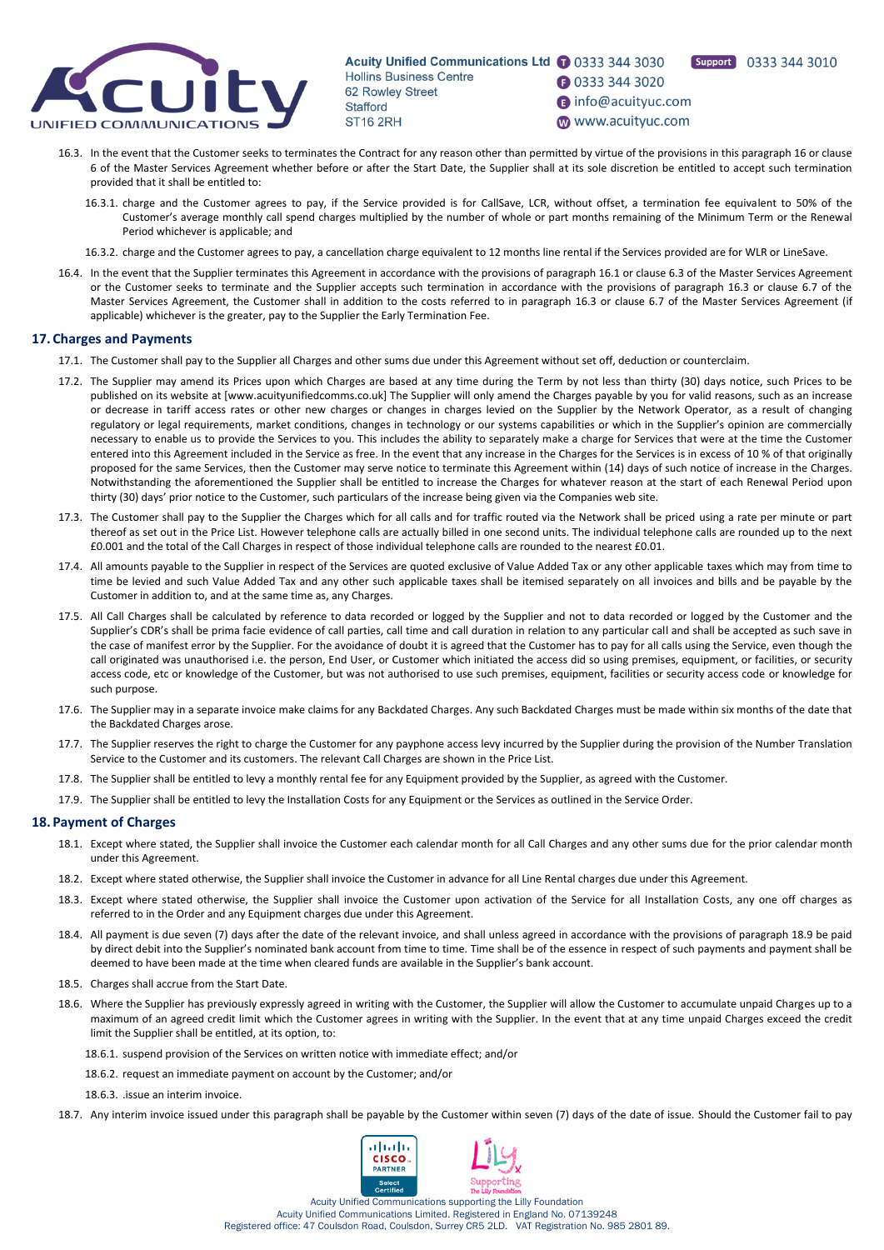

Acuity Unified Communications Ltd 1 0333 344 3030 **Hollins Business Centre 3** 0333 344 3020 62 Rowley Street

nfo@acuityuc.com **Stafford** www.acuityuc.com **ST16 2RH** 

Support 0333 344 3010

- 16.3. In the event that the Customer seeks to terminates the Contract for any reason other than permitted by virtue of the provisions in this paragraph 16 or clause 6 of the Master Services Agreement whether before or after the Start Date, the Supplier shall at its sole discretion be entitled to accept such termination provided that it shall be entitled to:
	- 16.3.1. charge and the Customer agrees to pay, if the Service provided is for CallSave, LCR, without offset, a termination fee equivalent to 50% of the Customer's average monthly call spend charges multiplied by the number of whole or part months remaining of the Minimum Term or the Renewal Period whichever is applicable; and
	- 16.3.2. charge and the Customer agrees to pay, a cancellation charge equivalent to 12 months line rental if the Services provided are for WLR or LineSave.
- 16.4. In the event that the Supplier terminates this Agreement in accordance with the provisions of paragraph 16.1 or clause 6.3 of the Master Services Agreement or the Customer seeks to terminate and the Supplier accepts such termination in accordance with the provisions of paragraph 16.3 or clause 6.7 of the Master Services Agreement, the Customer shall in addition to the costs referred to in paragraph 16.3 or clause 6.7 of the Master Services Agreement (if applicable) whichever is the greater, pay to the Supplier the Early Termination Fee.

#### **17. Charges and Payments**

- 17.1. The Customer shall pay to the Supplier all Charges and other sums due under this Agreement without set off, deduction or counterclaim.
- 17.2. The Supplier may amend its Prices upon which Charges are based at any time during the Term by not less than thirty (30) days notice, such Prices to be published on its website at [www.acuityunifiedcomms.co.uk] The Supplier will only amend the Charges payable by you for valid reasons, such as an increase or decrease in tariff access rates or other new charges or changes in charges levied on the Supplier by the Network Operator, as a result of changing regulatory or legal requirements, market conditions, changes in technology or our systems capabilities or which in the Supplier's opinion are commercially necessary to enable us to provide the Services to you. This includes the ability to separately make a charge for Services that were at the time the Customer entered into this Agreement included in the Service as free. In the event that any increase in the Charges for the Services is in excess of 10 % of that originally proposed for the same Services, then the Customer may serve notice to terminate this Agreement within (14) days of such notice of increase in the Charges. Notwithstanding the aforementioned the Supplier shall be entitled to increase the Charges for whatever reason at the start of each Renewal Period upon thirty (30) days' prior notice to the Customer, such particulars of the increase being given via the Companies web site.
- 17.3. The Customer shall pay to the Supplier the Charges which for all calls and for traffic routed via the Network shall be priced using a rate per minute or part thereof as set out in the Price List. However telephone calls are actually billed in one second units. The individual telephone calls are rounded up to the next £0.001 and the total of the Call Charges in respect of those individual telephone calls are rounded to the nearest £0.01.
- 17.4. All amounts payable to the Supplier in respect of the Services are quoted exclusive of Value Added Tax or any other applicable taxes which may from time to time be levied and such Value Added Tax and any other such applicable taxes shall be itemised separately on all invoices and bills and be payable by the Customer in addition to, and at the same time as, any Charges.
- 17.5. All Call Charges shall be calculated by reference to data recorded or logged by the Supplier and not to data recorded or logged by the Customer and the Supplier's CDR's shall be prima facie evidence of call parties, call time and call duration in relation to any particular call and shall be accepted as such save in the case of manifest error by the Supplier. For the avoidance of doubt it is agreed that the Customer has to pay for all calls using the Service, even though the call originated was unauthorised i.e. the person, End User, or Customer which initiated the access did so using premises, equipment, or facilities, or security access code, etc or knowledge of the Customer, but was not authorised to use such premises, equipment, facilities or security access code or knowledge for such purpose.
- 17.6. The Supplier may in a separate invoice make claims for any Backdated Charges. Any such Backdated Charges must be made within six months of the date that the Backdated Charges arose.
- 17.7. The Supplier reserves the right to charge the Customer for any payphone access levy incurred by the Supplier during the provision of the Number Translation Service to the Customer and its customers. The relevant Call Charges are shown in the Price List.
- 17.8. The Supplier shall be entitled to levy a monthly rental fee for any Equipment provided by the Supplier, as agreed with the Customer.
- 17.9. The Supplier shall be entitled to levy the Installation Costs for any Equipment or the Services as outlined in the Service Order.

#### **18. Payment of Charges**

- 18.1. Except where stated, the Supplier shall invoice the Customer each calendar month for all Call Charges and any other sums due for the prior calendar month under this Agreement.
- 18.2. Except where stated otherwise, the Supplier shall invoice the Customer in advance for all Line Rental charges due under this Agreement.
- 18.3. Except where stated otherwise, the Supplier shall invoice the Customer upon activation of the Service for all Installation Costs, any one off charges as referred to in the Order and any Equipment charges due under this Agreement.
- 18.4. All payment is due seven (7) days after the date of the relevant invoice, and shall unless agreed in accordance with the provisions of paragraph 18.9 be paid by direct debit into the Supplier's nominated bank account from time to time. Time shall be of the essence in respect of such payments and payment shall be deemed to have been made at the time when cleared funds are available in the Supplier's bank account.
- 18.5. Charges shall accrue from the Start Date.
- 18.6. Where the Supplier has previously expressly agreed in writing with the Customer, the Supplier will allow the Customer to accumulate unpaid Charges up to a maximum of an agreed credit limit which the Customer agrees in writing with the Supplier. In the event that at any time unpaid Charges exceed the credit limit the Supplier shall be entitled, at its option, to:
	- 18.6.1. suspend provision of the Services on written notice with immediate effect; and/or
	- 18.6.2. request an immediate payment on account by the Customer; and/or

18.6.3. .issue an interim invoice.

18.7. Any interim invoice issued under this paragraph shall be payable by the Customer within seven (7) days of the date of issue. Should the Customer fail to pay